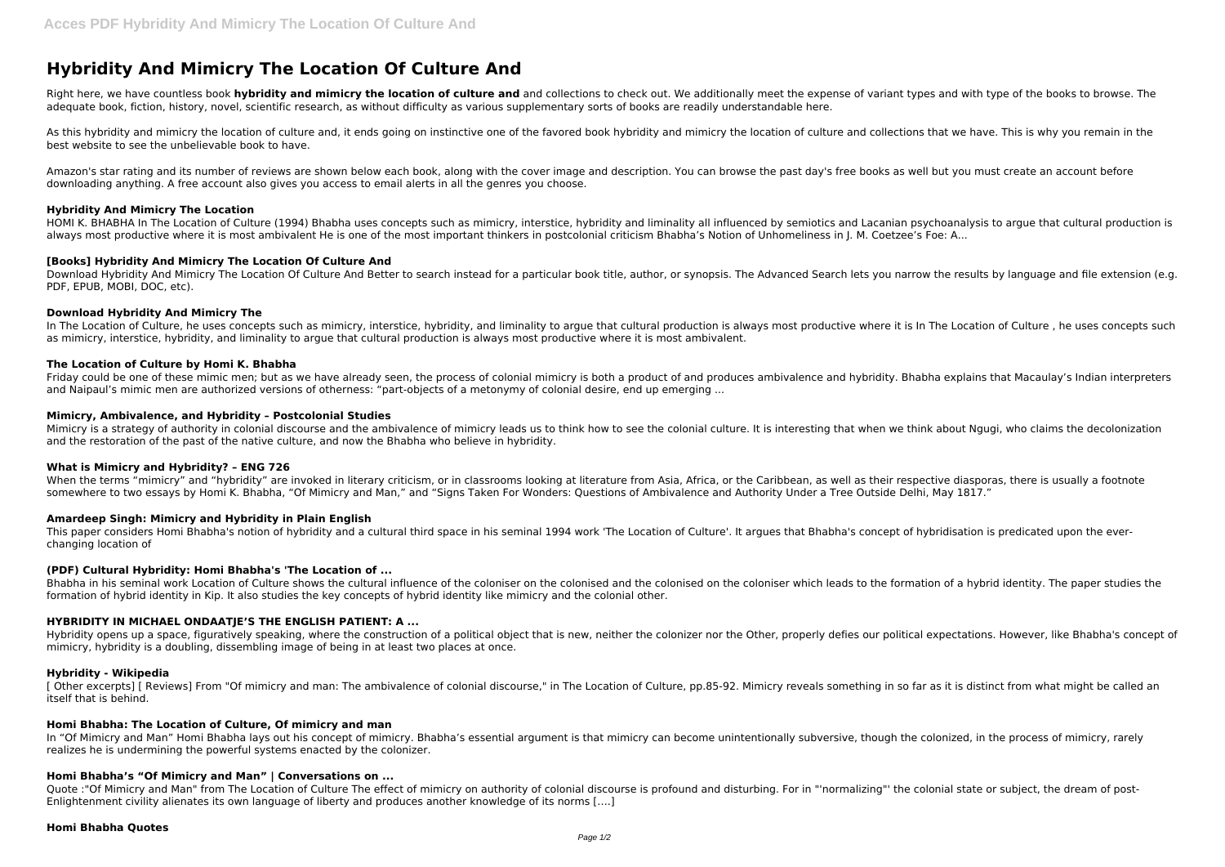# **Hybridity And Mimicry The Location Of Culture And**

Right here, we have countless book hybridity and mimicry the location of culture and and collections to check out. We additionally meet the expense of variant types and with type of the books to browse. The adequate book, fiction, history, novel, scientific research, as without difficulty as various supplementary sorts of books are readily understandable here.

As this hybridity and mimicry the location of culture and, it ends going on instinctive one of the favored book hybridity and mimicry the location of culture and collections that we have. This is why you remain in the best website to see the unbelievable book to have.

Download Hybridity And Mimicry The Location Of Culture And Better to search instead for a particular book title, author, or synopsis. The Advanced Search lets you narrow the results by language and file extension (e.g. PDF, EPUB, MOBI, DOC, etc).

Amazon's star rating and its number of reviews are shown below each book, along with the cover image and description. You can browse the past day's free books as well but you must create an account before downloading anything. A free account also gives you access to email alerts in all the genres you choose.

## **Hybridity And Mimicry The Location**

In The Location of Culture, he uses concepts such as mimicry, interstice, hybridity, and liminality to argue that cultural production is always most productive where it is In The Location of Culture, he uses concepts such as mimicry, interstice, hybridity, and liminality to argue that cultural production is always most productive where it is most ambivalent.

HOMI K. BHABHA In The Location of Culture (1994) Bhabha uses concepts such as mimicry, interstice, hybridity and liminality all influenced by semiotics and Lacanian psychoanalysis to argue that cultural production is always most productive where it is most ambivalent He is one of the most important thinkers in postcolonial criticism Bhabha's Notion of Unhomeliness in J. M. Coetzee's Foe: A...

Mimicry is a strategy of authority in colonial discourse and the ambivalence of mimicry leads us to think how to see the colonial culture. It is interesting that when we think about Ngugi, who claims the decolonization and the restoration of the past of the native culture, and now the Bhabha who believe in hybridity.

## **[Books] Hybridity And Mimicry The Location Of Culture And**

# **Download Hybridity And Mimicry The**

Bhabha in his seminal work Location of Culture shows the cultural influence of the coloniser on the colonised and the colonised on the coloniser which leads to the formation of a hybrid identity. The paper studies the formation of hybrid identity in Kip. It also studies the key concepts of hybrid identity like mimicry and the colonial other.

## **The Location of Culture by Homi K. Bhabha**

Friday could be one of these mimic men; but as we have already seen, the process of colonial mimicry is both a product of and produces ambivalence and hybridity. Bhabha explains that Macaulay's Indian interpreters and Naipaul's mimic men are authorized versions of otherness: "part-objects of a metonymy of colonial desire, end up emerging ...

Hybridity opens up a space, figuratively speaking, where the construction of a political object that is new, neither the colonizer nor the Other, properly defies our political expectations. However, like Bhabha's concept o mimicry, hybridity is a doubling, dissembling image of being in at least two places at once.

[ Other excerpts] [ Reviews] From "Of mimicry and man: The ambivalence of colonial discourse," in The Location of Culture, pp.85-92. Mimicry reveals something in so far as it is distinct from what might be called an itself that is behind.

In "Of Mimicry and Man" Homi Bhabha lays out his concept of mimicry. Bhabha's essential argument is that mimicry can become unintentionally subversive, though the colonized, in the process of mimicry, rarely realizes he is undermining the powerful systems enacted by the colonizer.

## **Mimicry, Ambivalence, and Hybridity – Postcolonial Studies**

Quote :"Of Mimicry and Man" from The Location of Culture The effect of mimicry on authority of colonial discourse is profound and disturbing. For in "'normalizing"' the colonial state or subject, the dream of post-Enlightenment civility alienates its own language of liberty and produces another knowledge of its norms [….]

## **What is Mimicry and Hybridity? – ENG 726**

When the terms "mimicry" and "hybridity" are invoked in literary criticism, or in classrooms looking at literature from Asia, Africa, or the Caribbean, as well as their respective diasporas, there is usually a footnote somewhere to two essays by Homi K. Bhabha, "Of Mimicry and Man." and "Signs Taken For Wonders: Questions of Ambivalence and Authority Under a Tree Outside Delhi, May 1817."

# **Amardeep Singh: Mimicry and Hybridity in Plain English**

This paper considers Homi Bhabha's notion of hybridity and a cultural third space in his seminal 1994 work 'The Location of Culture'. It argues that Bhabha's concept of hybridisation is predicated upon the everchanging location of

## **(PDF) Cultural Hybridity: Homi Bhabha's 'The Location of ...**

# **HYBRIDITY IN MICHAEL ONDAATJE'S THE ENGLISH PATIENT: A ...**

## **Hybridity - Wikipedia**

## **Homi Bhabha: The Location of Culture, Of mimicry and man**

## **Homi Bhabha's "Of Mimicry and Man" | Conversations on ...**

## **Homi Bhabha Quotes**